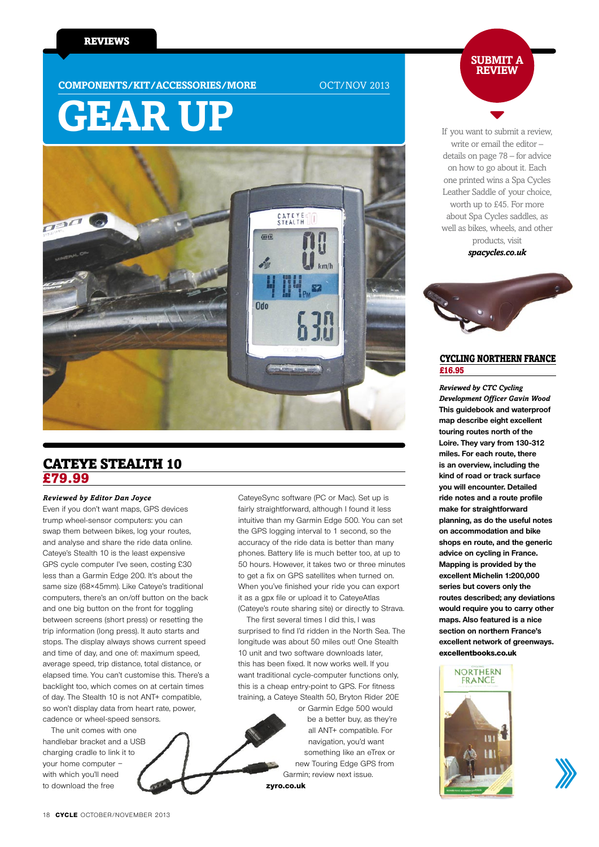**COMPONENTS/KIT/ACCESSORIES/MORE** OCT/NOV 2013

# **gear up**



# **CATEYE STEALTH 10** £79.99

#### *Reviewed by Editor Dan Joyce*

Even if you don't want maps, GPS devices trump wheel-sensor computers: you can swap them between bikes, log your routes, and analyse and share the ride data online. Cateye's Stealth 10 is the least expensive GPS cycle computer I've seen, costing £30 less than a Garmin Edge 200. It's about the same size (68×45mm). Like Cateye's traditional computers, there's an on/off button on the back and one big button on the front for toggling between screens (short press) or resetting the trip information (long press). It auto starts and stops. The display always shows current speed and time of day, and one of: maximum speed, average speed, trip distance, total distance, or elapsed time. You can't customise this. There's a backlight too, which comes on at certain times of day. The Stealth 10 is not ANT+ compatible, so won't display data from heart rate, power, cadence or wheel-speed sensors.

 The unit comes with one handlebar bracket and a USB charging cradle to link it to your home computer – with which you'll need to download the free

CateyeSync software (PC or Mac). Set up is fairly straightforward, although I found it less intuitive than my Garmin Edge 500. You can set the GPS logging interval to 1 second, so the accuracy of the ride data is better than many phones. Battery life is much better too, at up to 50 hours. However, it takes two or three minutes to get a fix on GPS satellites when turned on. When you've finished your ride you can export it as a gpx file or upload it to CateyeAtlas (Cateye's route sharing site) or directly to Strava.

 The first several times I did this, I was surprised to find I'd ridden in the North Sea. The longitude was about 50 miles out! One Stealth 10 unit and two software downloads later, this has been fixed. It now works well. If you want traditional cycle-computer functions only, this is a cheap entry-point to GPS. For fitness training, a Cateye Stealth 50, Bryton Rider 20E

or Garmin Edge 500 would be a better buy, as they're all ANT+ compatible. For navigation, you'd want something like an eTrex or new Touring Edge GPS from Garmin; review next issue.

```
zyro.co.uk
```
**submit a review**

If you want to submit a review, write or email the editor – details on page 78 – for advice on how to go about it. Each one printed wins a Spa Cycles Leather Saddle of your choice, worth up to £45. For more about Spa Cycles saddles, as well as bikes, wheels, and other products, visit

*spacycles.co.uk*



### Cycling Northern France £16.95

*Reviewed by CTC Cycling Development Officer Gavin Wood* **This guidebook and waterproof map describe eight excellent touring routes north of the Loire. They vary from 130-312 miles. For each route, there is an overview, including the kind of road or track surface you will encounter. Detailed ride notes and a route profile make for straightforward planning, as do the useful notes on accommodation and bike shops en route, and the generic advice on cycling in France. Mapping is provided by the excellent Michelin 1:200,000 series but covers only the routes described; any deviations would require you to carry other maps. Also featured is a nice section on northern France's excellent network of greenways. excellentbooks.co.uk**



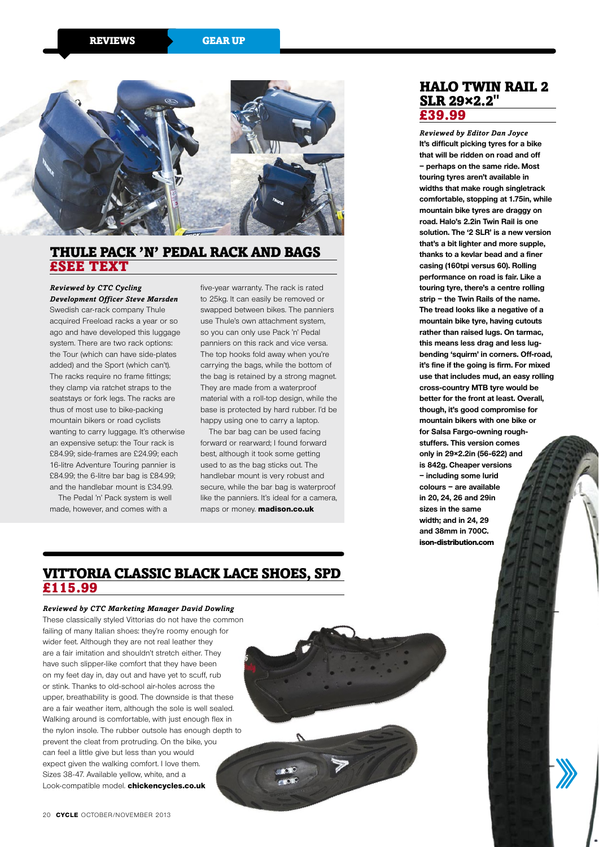

# Thule Pack 'n' Pedal rack and bags £see text

#### *Reviewed by CTC Cycling Development Officer Steve Marsden*

Swedish car-rack company Thule acquired Freeload racks a year or so ago and have developed this luggage system. There are two rack options: the Tour (which can have side-plates added) and the Sport (which can't). The racks require no frame fittings: they clamp via ratchet straps to the seatstays or fork legs. The racks are thus of most use to bike-packing mountain bikers or road cyclists wanting to carry luggage. It's otherwise an expensive setup: the Tour rack is £84.99; side-frames are £24.99; each 16-litre Adventure Touring pannier is £84.99; the 6-litre bar bag is £84.99; and the handlebar mount is £34.99.

 The Pedal 'n' Pack system is well made, however, and comes with a

five-year warranty. The rack is rated to 25kg. It can easily be removed or swapped between bikes. The panniers use Thule's own attachment system, so you can only use Pack 'n' Pedal panniers on this rack and vice versa. The top hooks fold away when you're carrying the bags, while the bottom of the bag is retained by a strong magnet. They are made from a waterproof material with a roll-top design, while the base is protected by hard rubber. I'd be happy using one to carry a laptop.

 The bar bag can be used facing forward or rearward; I found forward best, although it took some getting used to as the bag sticks out. The handlebar mount is very robust and secure, while the bar bag is waterproof like the panniers. It's ideal for a camera, maps or money. **madison.co.uk**

# Halo Twin Rail 2 SLR 29×2.2**"** £39.99

*Reviewed by Editor Dan Joyce* **It's difficult picking tyres for a bike that will be ridden on road and off – perhaps on the same ride. Most touring tyres aren't available in widths that make rough singletrack comfortable, stopping at 1.75in, while mountain bike tyres are draggy on road. Halo's 2.2in Twin Rail is one solution. The '2 SLR' is a new version that's a bit lighter and more supple, thanks to a kevlar bead and a finer casing (160tpi versus 60). Rolling performance on road is fair. Like a touring tyre, there's a centre rolling strip – the Twin Rails of the name. The tread looks like a negative of a mountain bike tyre, having cutouts rather than raised lugs. On tarmac, this means less drag and less lugbending 'squirm' in corners. Off-road, it's fine if the going is firm. For mixed use that includes mud, an easy rolling cross-country MTB tyre would be better for the front at least. Overall, though, it's good compromise for mountain bikers with one bike or for Salsa Fargo-owning roughstuffers. This version comes**  only in 29×2.2in (56-622) and **is 842g. Cheaper versions – including some lurid colours – are available in 20, 24, 26 and 29in sizes in the same width; and in 24, 29 and 38mm in 700C.** 

**ison-distribution.com**

# Vittoria Classic Black Lace Shoes, SPD £115.99

#### *Reviewed by CTC Marketing Manager David Dowling*

These classically styled Vittorias do not have the common failing of many Italian shoes: they're roomy enough for wider feet. Although they are not real leather they are a fair imitation and shouldn't stretch either. They have such slipper-like comfort that they have been on my feet day in, day out and have yet to scuff, rub or stink. Thanks to old-school air-holes across the upper, breathability is good. The downside is that these are a fair weather item, although the sole is well sealed. Walking around is comfortable, with just enough flex in the nylon insole. The rubber outsole has enough depth to prevent the cleat from protruding. On the bike, you can feel a little give but less than you would expect given the walking comfort. I love them. Sizes 38-47. Available yellow, white, and a Look-compatible model. **chickencycles.co.uk**